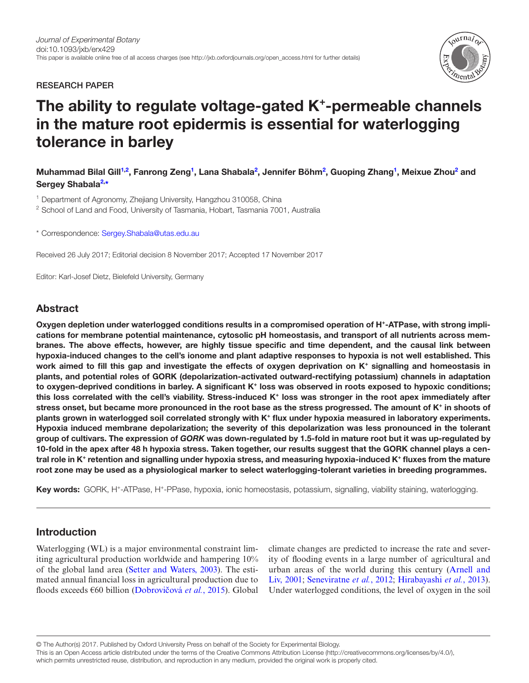# RESEARCH PAPER



# The ability to regulate voltage-gated K<sup>+</sup>-permeable channels in the mature root epidermis is essential for waterlogging tolerance in barley

# Muhammad Bilal Gill<sup>1,2</sup>, Fanrong Zeng<sup>1</sup>, Lana Shabala<sup>2</sup>, Jennifer Böhm<sup>2</sup>, Guoping Zhang<sup>1</sup>, Meixue Zhou<sup>2</sup> and Sergey Shabala<sup>2,\*</sup>

<sup>1</sup> Department of Agronomy, Zhejiang University, Hangzhou 310058, China

<sup>2</sup> School of Land and Food, University of Tasmania, Hobart, Tasmania 7001, Australia

\* Correspondence: Sergey.Shabala@utas.edu.au

Received 26 July 2017; Editorial decision 8 November 2017; Accepted 17 November 2017

Editor: Karl-Josef Dietz, Bielefeld University, Germany

# Abstract

Oxygen depletion under waterlogged conditions results in a compromised operation of H<sup>+</sup>-ATPase, with strong implications for membrane potential maintenance, cytosolic pH homeostasis, and transport of all nutrients across membranes. The above effects, however, are highly tissue specific and time dependent, and the causal link between hypoxia-induced changes to the cell's ionome and plant adaptive responses to hypoxia is not well established. This work aimed to fill this gap and investigate the effects of oxygen deprivation on K<sup>+</sup> signalling and homeostasis in plants, and potential roles of GORK (depolarization-activated outward-rectifying potassium) channels in adaptation to oxygen-deprived conditions in barley. A significant K<sup>+</sup> loss was observed in roots exposed to hypoxic conditions; this loss correlated with the cell's viability. Stress-induced K<sup>+</sup> loss was stronger in the root apex immediately after stress onset, but became more pronounced in the root base as the stress progressed. The amount of K<sup>+</sup> in shoots of plants grown in waterlogged soil correlated strongly with K<sup>+</sup> flux under hypoxia measured in laboratory experiments. Hypoxia induced membrane depolarization; the severity of this depolarization was less pronounced in the tolerant group of cultivars. The expression of *GORK* was down-regulated by 1.5-fold in mature root but it was up-regulated by 10-fold in the apex after 48 h hypoxia stress. Taken together, our results suggest that the GORK channel plays a central role in K<sup>+</sup> retention and signalling under hypoxia stress, and measuring hypoxia-induced K<sup>+</sup> fluxes from the mature root zone may be used as a physiological marker to select waterlogging-tolerant varieties in breeding programmes.

Key words: GORK, H<sup>+</sup>-ATPase, H<sup>+</sup>-PPase, hypoxia, ionic homeostasis, potassium, signalling, viability staining, waterlogging.

# Introduction

Waterlogging (WL) is a major environmental constraint limiting agricultural production worldwide and hampering 10% of the global land area (Setter and Waters, 2003). The estimated annual financial loss in agricultural production due to floods exceeds €60 billion (Dobrovičová *et al.*, 2015). Global climate changes are predicted to increase the rate and severity of flooding events in a large number of agricultural and urban areas of the world during this century (Arnell and Liv, 2001; Seneviratne *et al.*, 2012; Hirabayashi *et al.*, 2013). Under waterlogged conditions, the level of oxygen in the soil

© The Author(s) 2017. Published by Oxford University Press on behalf of the Society for Experimental Biology.

This is an Open Access article distributed under the terms of the Creative Commons Attribution License (http://creativecommons.org/licenses/by/4.0/), which permits unrestricted reuse, distribution, and reproduction in any medium, provided the original work is properly cited.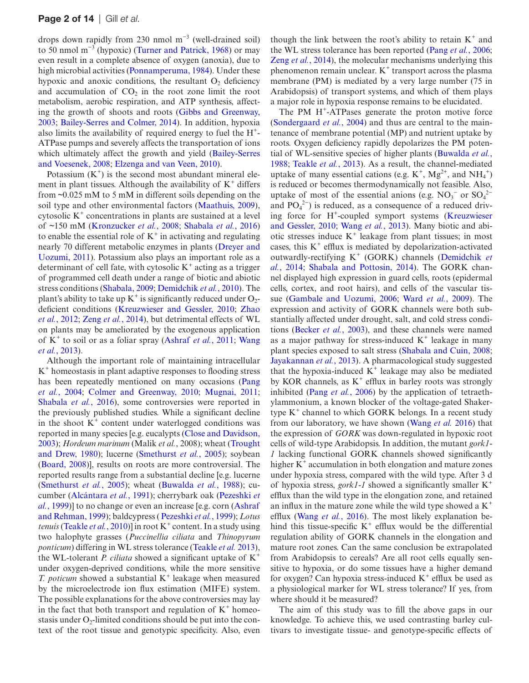drops down rapidly from 230 nmol  $m^{-3}$  (well-drained soil) to 50 nmol m−3 (hypoxic) (Turner and Patrick, 1968) or may even result in a complete absence of oxygen (anoxia), due to high microbial activities (Ponnamperuma, 1984). Under these hypoxic and anoxic conditions, the resultant  $O<sub>2</sub>$  deficiency and accumulation of  $CO<sub>2</sub>$  in the root zone limit the root metabolism, aerobic respiration, and ATP synthesis, affecting the growth of shoots and roots (Gibbs and Greenway, 2003; Bailey-Serres and Colmer, 2014). In addition, hypoxia also limits the availability of required energy to fuel the  $H^+$ -ATPase pumps and severely affects the transportation of ions which ultimately affect the growth and yield (Bailey-Serres and Voesenek, 2008; Elzenga and van Veen, 2010).

Potassium  $(K^+)$  is the second most abundant mineral element in plant tissues. Although the availability of  $K^+$  differs from ~0.025 mM to 5 mM in different soils depending on the soil type and other environmental factors (Maathuis, 2009), cytosolic  $K^+$  concentrations in plants are sustained at a level of ~150 mM (Kronzucker *et al.*, 2008; Shabala *et al.*, 2016) to enable the essential role of  $K^+$  in activating and regulating nearly 70 different metabolic enzymes in plants (Dreyer and Uozumi, 2011). Potassium also plays an important role as a determinant of cell fate, with cytosolic  $K^+$  acting as a trigger of programmed cell death under a range of biotic and abiotic stress conditions (Shabala, 2009; Demidchik *et al.*, 2010). The plant's ability to take up  $K^+$  is significantly reduced under  $O_2$ deficient conditions (Kreuzwieser and Gessler, 2010; Zhao *et al.*, 2012; Zeng *et al.*, 2014), but detrimental effects of WL on plants may be ameliorated by the exogenous application of K+ to soil or as a foliar spray (Ashraf *et al.*, 2011; Wang *et al.*, 2013).

Although the important role of maintaining intracellular  $K<sup>+</sup>$  homeostasis in plant adaptive responses to flooding stress has been repeatedly mentioned on many occasions (Pang *et al.*, 2004; Colmer and Greenway, 2010; Mugnai, 2011; Shabala *et al.*, 2016), some controversies were reported in the previously published studies. While a significant decline in the shoot  $K^+$  content under waterlogged conditions was reported in many species [e.g. eucalypts (Close and Davidson, 2003); *Hordeum marinum* (Malik *et al.*, 2008); wheat (Trought and Drew, 1980); lucerne (Smethurst *et al.*, 2005); soybean (Board, 2008)], results on roots are more controversial. The reported results range from a substantial decline [e.g. lucerne (Smethurst *et al.*, 2005); wheat (Buwalda *et al.*, 1988); cucumber (Alcántara *et al.*, 1991); cherrybark oak (Pezeshki *et al.*, 1999)] to no change or even an increase [e.g. corn (Ashraf and Rehman, 1999); baldcypress ( Pezeshki *et al.*, 1999); *Lotus tenuis* (Teakle *et al.*, 2010)] in root  $K^+$  content. In a study using two halophyte grasses (*Puccinellia ciliata* and *Thinopyrum ponticum*) differing in WL stress tolerance (Teakle *et al.* 2013), the WL-tolerant *P. ciliata* showed a significant uptake of K<sup>+</sup> under oxygen-deprived conditions, while the more sensitive *T. poticum* showed a substantial  $K^+$  leakage when measured by the microelectrode ion flux estimation (MIFE) system. The possible explanations for the above controversies may lay in the fact that both transport and regulation of  $K^+$  homeostasis under  $O_2$ -limited conditions should be put into the context of the root tissue and genotypic specificity. Also, even

though the link between the root's ability to retain  $K^+$  and the WL stress tolerance has been reported (Pang *et al.*, 2006; Zeng *et al.*, 2014), the molecular mechanisms underlying this phenomenon remain unclear.  $K^+$  transport across the plasma membrane (PM) is mediated by a very large number (75 in Arabidopsis) of transport systems, and which of them plays a major role in hypoxia response remains to be elucidated.

The PM H<sup>+</sup>-ATPases generate the proton motive force (Sondergaard *et al.*, 2004) and thus are central to the maintenance of membrane potential (MP) and nutrient uptake by roots. Oxygen deficiency rapidly depolarizes the PM potential of WL-sensitive species of higher plants (Buwalda *et al.*, 1988; Teakle *et al.*, 2013). As a result, the channel-mediated uptake of many essential cations (e.g.  $K^+$ ,  $Mg^{2+}$ , and  $NH_4^+$ ) is reduced or becomes thermodynamically not feasible. Also, uptake of most of the essential anions (e.g.  $NO_3^-$  or  $SO_4^{2-}$ and  $PO_4^2$ ) is reduced, as a consequence of a reduced driving force for H<sup>+</sup>-coupled symport systems (Kreuzwieser and Gessler, 2010; Wang *et al.*, 2013). Many biotic and abiotic stresses induce  $K^+$  leakage from plant tissues; in most cases, this  $K^+$  efflux is mediated by depolarization-activated outwardly-rectifying K+ (GORK) channels (Demidchik *et al.*, 2014; Shabala and Pottosin, 2014). The GORK channel displayed high expression in guard cells, roots (epidermal cells, cortex, and root hairs), and cells of the vascular tissue (Gambale and Uozumi, 2006; Ward *et al.*, 2009). The expression and activity of GORK channels were both substantially affected under drought, salt, and cold stress conditions (Becker *et al.*, 2003), and these channels were named as a major pathway for stress-induced  $K^+$  leakage in many plant species exposed to salt stress (Shabala and Cuin, 2008; Jayakannan *et al.*, 2013). A pharmacological study suggested that the hypoxia-induced  $K^+$  leakage may also be mediated by KOR channels, as  $K^+$  efflux in barley roots was strongly inhibited (Pang *et al.*, 2006) by the application of tetraethylammonium, a known blocker of the voltage-gated Shakertype  $K^+$  channel to which GORK belongs. In a recent study from our laboratory, we have shown (Wang *et al.* 2016) that the expression of *GORK* was down-regulated in hypoxic root cells of wild-type Arabidopsis. In addition, the mutant *gork1- 1* lacking functional GORK channels showed significantly higher K<sup>+</sup> accumulation in both elongation and mature zones under hypoxia stress, compared with the wild type. After 3 d of hypoxia stress, *gork1-1* showed a significantly smaller  $K^+$ efflux than the wild type in the elongation zone, and retained an influx in the mature zone while the wild type showed a  $K^+$ efflux (Wang *et al.*, 2016). The most likely explanation behind this tissue-specific  $K^+$  efflux would be the differential regulation ability of GORK channels in the elongation and mature root zones. Can the same conclusion be extrapolated from Arabidopsis to cereals? Are all root cells equally sensitive to hypoxia, or do some tissues have a higher demand for oxygen? Can hypoxia stress-induced  $K^+$  efflux be used as a physiological marker for WL stress tolerance? If yes, from where should it be measured?

The aim of this study was to fill the above gaps in our knowledge. To achieve this, we used contrasting barley cultivars to investigate tissue- and genotype-specific effects of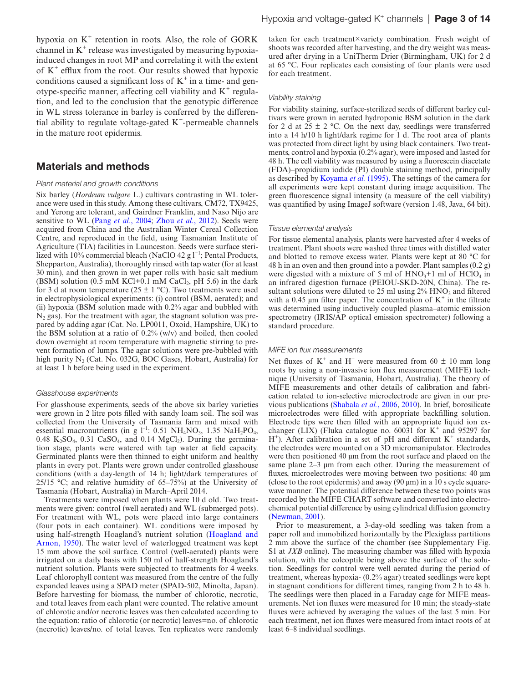hypoxia on K+ retention in roots. Also, the role of GORK channel in  $K^+$  release was investigated by measuring hypoxiainduced changes in root MP and correlating it with the extent of  $K^+$  efflux from the root. Our results showed that hypoxic conditions caused a significant loss of  $K^+$  in a time- and genotype-specific manner, affecting cell viability and  $K^+$  regulation, and led to the conclusion that the genotypic difference in WL stress tolerance in barley is conferred by the differential ability to regulate voltage-gated  $K^+$ -permeable channels in the mature root epidermis.

# Materials and methods

#### *Plant material and growth conditions*

Six barley (*Hordeum vulgare* L.) cultivars contrasting in WL tolerance were used in this study. Among these cultivars, CM72, TX9425, and Yerong are tolerant, and Gairdner Franklin, and Naso Nijo are sensitive to WL (Pang *et al.*, 2004; Zhou *et al.*, 2012). Seeds were acquired from China and the Australian Winter Cereal Collection Centre, and reproduced in the field, using Tasmanian Institute of Agriculture (TIA) facilities in Launceston. Seeds were surface sterilized with 10% commercial bleach (NaClO 42 g l<sup>-1</sup>; Pental Products, Shepparton, Australia), thoroughly rinsed with tap water (for at least 30 min), and then grown in wet paper rolls with basic salt medium (BSM) solution (0.5 mM KCl+0.1 mM CaCl<sub>2</sub>, pH 5.6) in the dark for 3 d at room temperature (25  $\pm$  1 °C). Two treatments were used in electrophysiological experiments: (i) control (BSM, aerated); and (ii) hypoxia (BSM solution made with 0.2% agar and bubbled with  $N_2$  gas). For the treatment with agar, the stagnant solution was prepared by adding agar (Cat. No. LP0011, Oxoid, Hampshire, UK) to the BSM solution at a ratio of 0.2% (w/v) and boiled, then cooled down overnight at room temperature with magnetic stirring to prevent formation of lumps. The agar solutions were pre-bubbled with high purity  $N<sub>2</sub>$  (Cat. No. 032G, BOC Gases, Hobart, Australia) for at least 1 h before being used in the experiment.

#### *Glasshouse experiments*

For glasshouse experiments, seeds of the above six barley varieties were grown in 2 litre pots filled with sandy loam soil. The soil was collected from the University of Tasmania farm and mixed with essential macronutrients (in g  $l^{-1}$ : 0.51 NH<sub>4</sub>NO<sub>3</sub>, 1.35 NaH<sub>2</sub>PO<sub>4</sub>, 0.48 K<sub>2</sub>SO<sub>4</sub>, 0.31 CaSO<sub>4</sub>, and 0.14 MgCl<sub>2</sub>). During the germination stage, plants were watered with tap water at field capacity. Germinated plants were then thinned to eight uniform and healthy plants in every pot. Plants were grown under controlled glasshouse conditions (with a day-length of 14 h; light/dark temperatures of 25/15  $\textdegree$ C; and relative humidity of 65–75%) at the University of Tasmania (Hobart, Australia) in March–April 2014.

Treatments were imposed when plants were 10 d old. Two treatments were given: control (well aerated) and WL (submerged pots). For treatment with WL, pots were placed into large containers (four pots in each container). WL conditions were imposed by using half-strength Hoagland's nutrient solution (Hoagland and Arnon, 1950). The water level of waterlogged treatment was kept 15 mm above the soil surface. Control (well-aerated) plants were irrigated on a daily basis with 150 ml of half-strength Hoagland's nutrient solution. Plants were subjected to treatments for 4 weeks. Leaf chlorophyll content was measured from the centre of the fully expanded leaves using a SPAD meter (SPAD-502, Minolta, Japan). Before harvesting for biomass, the number of chlorotic, necrotic, and total leaves from each plant were counted. The relative amount of chlorotic and/or necrotic leaves was then calculated according to the equation: ratio of chlorotic (or necrotic) leaves=no. of chlorotic (necrotic) leaves/no. of total leaves. Ten replicates were randomly taken for each treatment×variety combination. Fresh weight of shoots was recorded after harvesting, and the dry weight was measured after drying in a UniTherm Drier (Birmingham, UK) for 2 d at 65 °C. Four replicates each consisting of four plants were used for each treatment.

#### *Viability staining*

For viability staining, surface-sterilized seeds of different barley cultivars were grown in aerated hydroponic BSM solution in the dark for 2 d at  $25 \pm 2$  °C. On the next day, seedlings were transferred into a 14 h/10 h light/dark regime for 1 d. The root area of plants was protected from direct light by using black containers. Two treatments, control and hypoxia (0.2% agar), were imposed and lasted for 48 h. The cell viability was measured by using a fluorescein diacetate (FDA)–propidium iodide (PI) double staining method, principally as described by Koyama *et al.* (1995). The settings of the camera for all experiments were kept constant during image acquisition. The green fluorescence signal intensity (a measure of the cell viability) was quantified by using ImageJ software (version 1.48, Java, 64 bit).

#### *Tissue elemental analysis*

For tissue elemental analysis, plants were harvested after 4 weeks of treatment. Plant shoots were washed three times with distilled water and blotted to remove excess water. Plants were kept at 80 °C for 48 h in an oven and then ground into a powder. Plant samples (0.2 g) were digested with a mixture of 5 ml of  $HNO<sub>3</sub>+1$  ml of  $HClO<sub>4</sub>$  in an infrared digestion furnace (PEIOU-SKD-20N, China). The resultant solutions were diluted to 25 ml using  $2\%$  HNO<sub>3</sub> and filtered with a 0.45 µm filter paper. The concentration of  $K^+$  in the filtrate was determined using inductively coupled plasma–atomic emission spectrometry (IRIS/AP optical emission spectrometer) following a standard procedure.

#### *MIFE ion flux measurements*

Net fluxes of  $K^+$  and H<sup>+</sup> were measured from 60  $\pm$  10 mm long roots by using a non-invasive ion flux measurement (MIFE) technique (University of Tasmania, Hobart, Australia). The theory of MIFE measurements and other details of calibration and fabrication related to ion-selective microelectrode are given in our previous publications (Shabala *et al.*, 2006, 2010). In brief, borosilicate microelectrodes were filled with appropriate backfilling solution. Electrode tips were then filled with an appropriate liquid ion exchanger (LIX) (Fluka catalogue no.  $60031$  for K<sup>+</sup> and 95297 for  $H^+$ ). After calibration in a set of pH and different  $K^+$  standards, the electrodes were mounted on a 3D micromanipulator. Electrodes were then positioned 40  $\mu$ m from the root surface and placed on the same plane 2–3  $\mu$ m from each other. During the measurement of fluxes, microelectrodes were moving between two positions: 40 µm (close to the root epidermis) and away  $(90 \,\mu m)$  in a 10 s cycle squarewave manner. The potential difference between these two points was recorded by the MIFE CHART software and converted into electrochemical potential difference by using cylindrical diffusion geometry (Newman, 2001).

Prior to measurement, a 3-day-old seedling was taken from a paper roll and immobilized horizontally by the Plexiglass partitions 2 mm above the surface of the chamber (see Supplementary Fig. S1 at *JXB* online). The measuring chamber was filled with hypoxia solution, with the coleoptile being above the surface of the solution. Seedlings for control were well aerated during the period of treatment, whereas hypoxia- (0.2% agar) treated seedlings were kept in stagnant conditions for different times, ranging from 2 h to 48 h. The seedlings were then placed in a Faraday cage for MIFE measurements. Net ion fluxes were measured for 10 min; the steady-state fluxes were achieved by averaging the values of the last 5 min. For each treatment, net ion fluxes were measured from intact roots of at least 6–8 individual seedlings.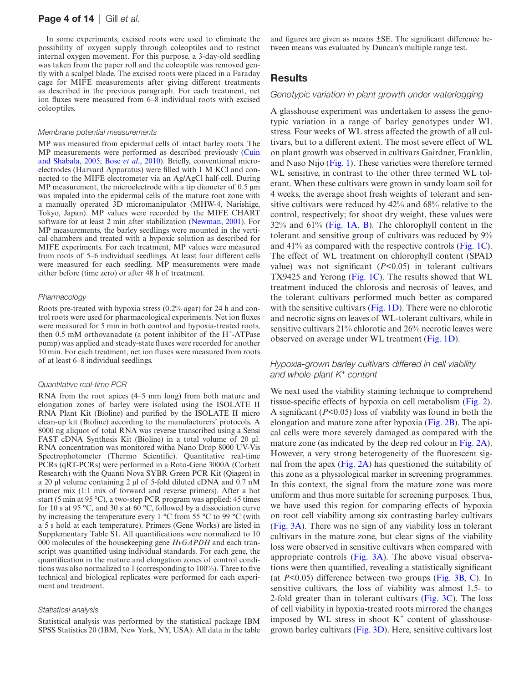# **Page 4 of 14** | Gill *et al.*

In some experiments, excised roots were used to eliminate the possibility of oxygen supply through coleoptiles and to restrict internal oxygen movement. For this purpose, a 3-day-old seedling was taken from the paper roll and the coleoptile was removed gently with a scalpel blade. The excised roots were placed in a Faraday cage for MIFE measurements after giving different treatments as described in the previous paragraph. For each treatment, net ion fluxes were measured from 6–8 individual roots with excised coleoptiles.

#### *Membrane potential measurements*

MP was measured from epidermal cells of intact barley roots. The MP measurements were performed as described previously (Cuin and Shabala, 2005; Bose *et al.*, 2010). Briefly, conventional microelectrodes (Harvard Apparatus) were filled with 1 M KCl and connected to the MIFE electrometer via an Ag/AgCl half-cell. During MP measurement, the microelectrode with a tip diameter of 0.5 µm was impaled into the epidermal cells of the mature root zone with a manually operated 3D micromanipulator (MHW-4, Narishige, Tokyo, Japan). MP values were recorded by the MIFE CHART software for at least 2 min after stabilization (Newman, 2001). For MP measurements, the barley seedlings were mounted in the vertical chambers and treated with a hypoxic solution as described for MIFE experiments. For each treatment, MP values were measured from roots of 5–6 individual seedlings. At least four different cells were measured for each seedling. MP measurements were made either before (time zero) or after 48 h of treatment.

#### *Pharmacology*

Roots pre-treated with hypoxia stress (0.2% agar) for 24 h and control roots were used for pharmacological experiments. Net ion fluxes were measured for 5 min in both control and hypoxia-treated roots, then 0.5 mM orthovanadate (a potent inhibitor of the H+-ATPase pump) was applied and steady-state fluxes were recorded for another 10 min. For each treatment, net ion fluxes were measured from roots of at least 6–8 individual seedlings.

#### *Quantitative real-time PCR*

RNA from the root apices (4–5 mm long) from both mature and elongation zones of barley were isolated using the ISOLATE II RNA Plant Kit (Bioline) and purified by the ISOLATE II micro clean-up kit (Bioline) according to the manufacturers' protocols. A 8000 ng aliquot of total RNA was reverse transcribed using a Sensi FAST cDNA Synthesis Kit (Bioline) in a total volume of 20 µl. RNA concentration was monitored witha Nano Drop 8000 UV-Vis Spectrophotometer (Thermo Scientific). Quantitative real-time PCRs (qRT-PCRs) were performed in a Roto-Gene 3000A (Corbett Research) with the Quanti Nova SYBR Green PCR Kit (Qiagen) in a 20 µl volume containing 2 µl of 5-fold diluted cDNA and 0.7 nM primer mix (1:1 mix of forward and reverse primers). After a hot start (5 min at 95 °C), a two-step PCR program was applied: 45 times for 10 s at 95 °C, and 30 s at 60 °C, followed by a dissociation curve by increasing the temperature every 1 °C from 55 °C to 99 °C (with a 5 s hold at each temperature). Primers (Gene Works) are listed in Supplementary Table S1. All quantifications were normalized to 10 000 molecules of the housekeeping gene *HvGAPDH* and each transcript was quantified using individual standards. For each gene, the quantification in the mature and elongation zones of control conditions was also normalized to 1 (corresponding to 100%). Three to five technical and biological replicates were performed for each experiment and treatment.

#### *Statistical analysis*

Statistical analysis was performed by the statistical package IBM SPSS Statistics 20 (IBM, New York, NY, USA). All data in the table and figures are given as means ±SE. The significant difference between means was evaluated by Duncan's multiple range test.

# **Results**

#### *Genotypic variation in plant growth under waterlogging*

A glasshouse experiment was undertaken to assess the genotypic variation in a range of barley genotypes under WL stress. Four weeks of WL stress affected the growth of all cultivars, but to a different extent. The most severe effect of WL on plant growth was observed in cultivars Gairdner, Franklin, and Naso Nijo (Fig. 1). These varieties were therefore termed WL sensitive, in contrast to the other three termed WL tolerant. When these cultivars were grown in sandy loam soil for 4 weeks, the average shoot fresh weights of tolerant and sensitive cultivars were reduced by 42% and 68% relative to the control, respectively; for shoot dry weight, these values were  $32\%$  and  $61\%$  (Fig. 1A, B). The chlorophyll content in the tolerant and sensitive group of cultivars was reduced by 9% and 41% as compared with the respective controls (Fig. 1C). The effect of WL treatment on chlorophyll content (SPAD value) was not significant (*P*<0.05) in tolerant cultivars TX9425 and Yerong (Fig. 1C). The results showed that WL treatment induced the chlorosis and necrosis of leaves, and the tolerant cultivars performed much better as compared with the sensitive cultivars (Fig. 1D). There were no chlorotic and necrotic signs on leaves of WL-tolerant cultivars, while in sensitive cultivars 21% chlorotic and 26% necrotic leaves were observed on average under WL treatment (Fig. 1D).

### *Hypoxia-grown barley cultivars differed in cell viability and whole-plant K+ content*

We next used the viability staining technique to comprehend tissue-specific effects of hypoxia on cell metabolism (Fig. 2). A significant (*P*<0.05) loss of viability was found in both the elongation and mature zone after hypoxia (Fig. 2B). The apical cells were more severely damaged as compared with the mature zone (as indicated by the deep red colour in Fig. 2A). However, a very strong heterogeneity of the fluorescent signal from the apex (Fig. 2A) has questioned the suitability of this zone as a physiological marker in screening programmes. In this context, the signal from the mature zone was more uniform and thus more suitable for screening purposes. Thus, we have used this region for comparing effects of hypoxia on root cell viability among six contrasting barley cultivars (Fig. 3A). There was no sign of any viability loss in tolerant cultivars in the mature zone, but clear signs of the viability loss were observed in sensitive cultivars when compared with appropriate controls (Fig. 3A). The above visual observations were then quantified, revealing a statistically significant (at *P*<0.05) difference between two groups (Fig. 3B, C). In sensitive cultivars, the loss of viability was almost 1.5- to 2-fold greater than in tolerant cultivars (Fig. 3C). The loss of cell viability in hypoxia-treated roots mirrored the changes imposed by WL stress in shoot  $K^+$  content of glasshousegrown barley cultivars (Fig. 3D). Here, sensitive cultivars lost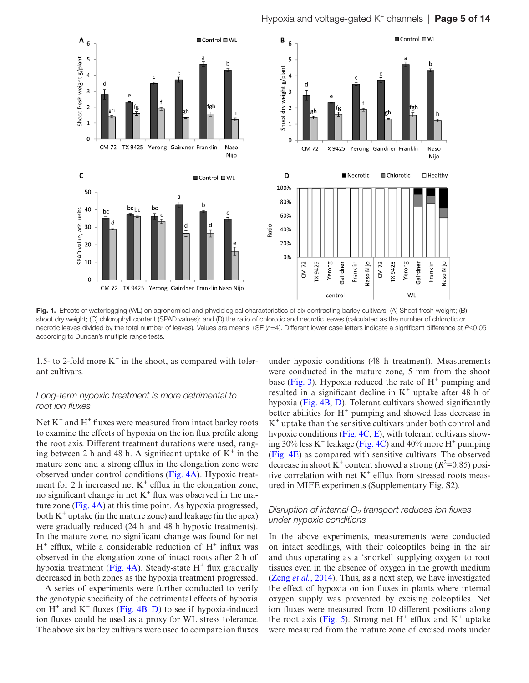

Fig. 1. Effects of waterlogging (WL) on agronomical and physiological characteristics of six contrasting barley cultivars. (A) Shoot fresh weight; (B) shoot dry weight; (C) chlorophyll content (SPAD values); and (D) the ratio of chlorotic and necrotic leaves (calculated as the number of chlorotic or necrotic leaves divided by the total number of leaves). Values are means ±SE (*n*=4). Different lower case letters indicate a significant difference at *P*≤0.05 according to Duncan's multiple range tests.

1.5- to 2-fold more  $K^+$  in the shoot, as compared with tolerant cultivars.

# *Long-term hypoxic treatment is more detrimental to root ion fluxes*

Net  $K^+$  and  $H^+$  fluxes were measured from intact barley roots to examine the effects of hypoxia on the ion flux profile along the root axis. Different treatment durations were used, ranging between 2 h and 48 h. A significant uptake of  $K^+$  in the mature zone and a strong efflux in the elongation zone were observed under control conditions (Fig. 4A). Hypoxic treatment for 2 h increased net  $K^+$  efflux in the elongation zone; no significant change in net  $K^+$  flux was observed in the mature zone (Fig. 4A) at this time point. As hypoxia progressed, both  $K^+$  uptake (in the mature zone) and leakage (in the apex) were gradually reduced (24 h and 48 h hypoxic treatments). In the mature zone, no significant change was found for net  $H^+$  efflux, while a considerable reduction of  $H^+$  influx was observed in the elongation zone of intact roots after 2 h of hypoxia treatment (Fig. 4A). Steady-state  $H^+$  flux gradually decreased in both zones as the hypoxia treatment progressed.

A series of experiments were further conducted to verify the genotypic specificity of the detrimental effects of hypoxia on  $H^+$  and  $K^+$  fluxes (Fig. 4B-D) to see if hypoxia-induced ion fluxes could be used as a proxy for WL stress tolerance. The above six barley cultivars were used to compare ion fluxes under hypoxic conditions (48 h treatment). Measurements were conducted in the mature zone, 5 mm from the shoot base (Fig. 3). Hypoxia reduced the rate of  $H^+$  pumping and resulted in a significant decline in  $K^+$  uptake after 48 h of hypoxia (Fig. 4B, D). Tolerant cultivars showed significantly better abilities for  $H^+$  pumping and showed less decrease in K+ uptake than the sensitive cultivars under both control and hypoxic conditions (Fig. 4C, E), with tolerant cultivars showing 30% less  $K^+$  leakage (Fig. 4C) and 40% more  $H^+$  pumping (Fig. 4E) as compared with sensitive cultivars. The observed decrease in shoot K<sup>+</sup> content showed a strong ( $R^2$ =0.85) positive correlation with net  $K^+$  efflux from stressed roots measured in MIFE experiments (Supplementary Fig. S2).

# *Disruption of internal O<sub>2</sub> transport reduces ion fluxes under hypoxic conditions*

In the above experiments, measurements were conducted on intact seedlings, with their coleoptiles being in the air and thus operating as a 'snorkel' supplying oxygen to root tissues even in the absence of oxygen in the growth medium (Zeng *et al.*, 2014). Thus, as a next step, we have investigated the effect of hypoxia on ion fluxes in plants where internal oxygen supply was prevented by excising coleoptiles. Net ion fluxes were measured from 10 different positions along the root axis (Fig. 5). Strong net  $H^+$  efflux and  $K^+$  uptake were measured from the mature zone of excised roots under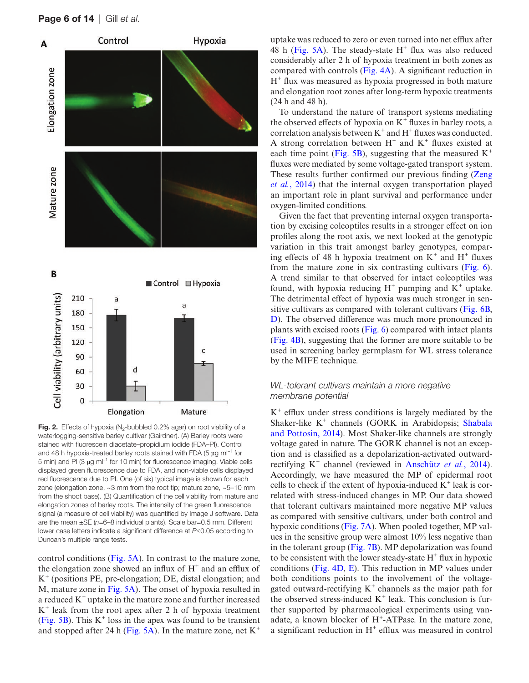### **Page 6 of 14** | Gill *et al.*



Fig. 2. Effects of hypoxia ( $N_2$ -bubbled 0.2% agar) on root viability of a waterlogging-sensitive barley cultivar (Gairdner). (A) Barley roots were stained with fluorescein diacetate–propidium iodide (FDA–PI). Control and 48 h hypoxia-treated barley roots stained with FDA (5  $\mu$ g m $^{-1}$  for 5 min) and PI (3 µg ml<sup>-1</sup> for 10 min) for fluorescence imaging. Viable cells displayed green fluorescence due to FDA, and non-viable cells displayed red fluorescence due to PI. One (of six) typical image is shown for each zone (elongation zone, ~3 mm from the root tip; mature zone, ~5–10 mm from the shoot base). (B) Quantification of the cell viability from mature and elongation zones of barley roots. The intensity of the green fluorescence signal (a measure of cell viability) was quantified by Image J software. Data are the mean ±SE (*n*=6–8 individual plants). Scale bar=0.5 mm. Different lower case letters indicate a significant difference at *P*≤0.05 according to Duncan's multiple range tests.

control conditions (Fig. 5A). In contrast to the mature zone, the elongation zone showed an influx of  $H^+$  and an efflux of  $K^+$  (positions PE, pre-elongation; DE, distal elongation; and M, mature zone in Fig. 5A). The onset of hypoxia resulted in a reduced  $K^+$  uptake in the mature zone and further increased  $K^+$  leak from the root apex after 2 h of hypoxia treatment (Fig.  $5B$ ). This K<sup>+</sup> loss in the apex was found to be transient and stopped after 24 h (Fig. 5A). In the mature zone, net  $K^+$ 

uptake was reduced to zero or even turned into net efflux after 48 h (Fig.  $5A$ ). The steady-state H<sup>+</sup> flux was also reduced considerably after 2 h of hypoxia treatment in both zones as compared with controls (Fig. 4A). A significant reduction in  $H<sup>+</sup>$  flux was measured as hypoxia progressed in both mature and elongation root zones after long-term hypoxic treatments (24 h and 48 h).

To understand the nature of transport systems mediating the observed effects of hypoxia on  $K^+$  fluxes in barley roots, a correlation analysis between  $K^+$  and  $H^+$  fluxes was conducted. A strong correlation between  $H^+$  and  $K^+$  fluxes existed at each time point (Fig. 5B), suggesting that the measured  $K^+$ fluxes were mediated by some voltage-gated transport system. These results further confirmed our previous finding (Zeng *et al.*, 2014) that the internal oxygen transportation played an important role in plant survival and performance under oxygen-limited conditions.

Given the fact that preventing internal oxygen transportation by excising coleoptiles results in a stronger effect on ion profiles along the root axis, we next looked at the genotypic variation in this trait amongst barley genotypes, comparing effects of 48 h hypoxia treatment on  $K^+$  and  $H^+$  fluxes from the mature zone in six contrasting cultivars (Fig. 6). A trend similar to that observed for intact coleoptiles was found, with hypoxia reducing  $H^+$  pumping and  $K^+$  uptake. The detrimental effect of hypoxia was much stronger in sensitive cultivars as compared with tolerant cultivars (Fig. 6B, D). The observed difference was much more pronounced in plants with excised roots (Fig. 6) compared with intact plants (Fig. 4B), suggesting that the former are more suitable to be used in screening barley germplasm for WL stress tolerance by the MIFE technique.

### *WL-tolerant cultivars maintain a more negative membrane potential*

 $K^+$  efflux under stress conditions is largely mediated by the Shaker-like  $K^+$  channels (GORK in Arabidopsis; Shabala and Pottosin, 2014). Most Shaker-like channels are strongly voltage gated in nature. The GORK channel is not an exception and is classified as a depolarization-activated outwardrectifying K+ channel (reviewed in Anschütz *et al.*, 2014). Accordingly, we have measured the MP of epidermal root cells to check if the extent of hypoxia-induced  $K^+$  leak is correlated with stress-induced changes in MP. Our data showed that tolerant cultivars maintained more negative MP values as compared with sensitive cultivars, under both control and hypoxic conditions (Fig. 7A). When pooled together, MP values in the sensitive group were almost 10% less negative than in the tolerant group (Fig. 7B). MP depolarization was found to be consistent with the lower steady-state  $H^+$  flux in hypoxic conditions (Fig. 4D, E). This reduction in MP values under both conditions points to the involvement of the voltagegated outward-rectifying  $K^+$  channels as the major path for the observed stress-induced  $K^+$  leak. This conclusion is further supported by pharmacological experiments using vanadate, a known blocker of H+-ATPase. In the mature zone, a significant reduction in  $H^+$  efflux was measured in control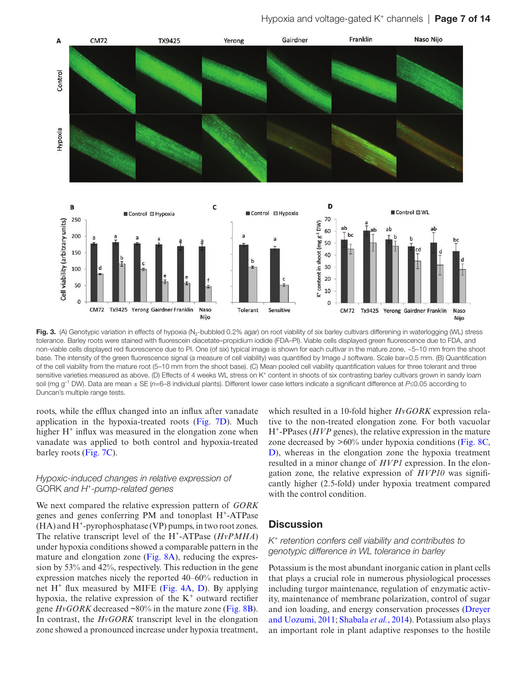

Fig. 3. (A) Genotypic variation in effects of hypoxia (N<sub>2</sub>-bubbled 0.2% agar) on root viability of six barley cultivars differening in waterlogging (WL) stress tolerance. Barley roots were stained with fluorescein diacetate–propidium iodide (FDA–PI). Viable cells displayed green fluorescence due to FDA, and non-viable cells displayed red fluorescence due to PI. One (of six) typical image is shown for each cultivar in the mature zone, ~5–10 mm from the shoot base. The intensity of the green fluorescence signal (a measure of cell viability) was quantified by Image J software. Scale bar=0.5 mm. (B) Quantification of the cell viability from the mature root (5–10 mm from the shoot base). (C) Mean pooled cell viability quantification values for three tolerant and three sensitive varieties measured as above. (D) Effects of 4 weeks WL stress on K<sup>+</sup> content in shoots of six contrasting barley cultivars grown in sandy loam soil (mg g–1 DW). Data are mean ± SE (*n*=6–8 individual plants). Different lower case letters indicate a significant difference at *P*≤0.05 according to Duncan's multiple range tests.

roots, while the efflux changed into an influx after vanadate application in the hypoxia-treated roots (Fig. 7D). Much higher  $H^+$  influx was measured in the elongation zone when vanadate was applied to both control and hypoxia-treated barley roots (Fig. 7C).

### *Hypoxic-induced changes in relative expression of*  GORK *and H+ -pump-related genes*

We next compared the relative expression pattern of *GORK* genes and genes conferring PM and tonoplast H+-ATPase  $(HA)$  and  $H^+$ -pyrophosphatase (VP) pumps, in two root zones. The relative transcript level of the H+-ATPase (*HvPMHA*) under hypoxia conditions showed a comparable pattern in the mature and elongation zone (Fig. 8A), reducing the expression by 53% and 42%, respectively. This reduction in the gene expression matches nicely the reported 40–60% reduction in net  $H^+$  flux measured by MIFE (Fig. 4A, D). By applying hypoxia, the relative expression of the  $K^+$  outward rectifier gene  $HvGORK$  decreased  $\sim80\%$  in the mature zone (Fig. 8B). In contrast, the *HvGORK* transcript level in the elongation zone showed a pronounced increase under hypoxia treatment, which resulted in a 10-fold higher *HvGORK* expression relative to the non-treated elongation zone. For both vacuolar H+-PPases (*HVP* genes), the relative expression in the mature zone decreased by >60% under hypoxia conditions (Fig. 8C, D), whereas in the elongation zone the hypoxia treatment resulted in a minor change of *HVP1* expression. In the elongation zone, the relative expression of *HVP10* was significantly higher (2.5-fold) under hypoxia treatment compared with the control condition.

# **Discussion**

# *K+ retention confers cell viability and contributes to genotypic difference in WL tolerance in barley*

Potassium is the most abundant inorganic cation in plant cells that plays a crucial role in numerous physiological processes including turgor maintenance, regulation of enzymatic activity, maintenance of membrane polarization, control of sugar and ion loading, and energy conservation processes (Dreyer and Uozumi, 2011; Shabala *et al.*, 2014). Potassium also plays an important role in plant adaptive responses to the hostile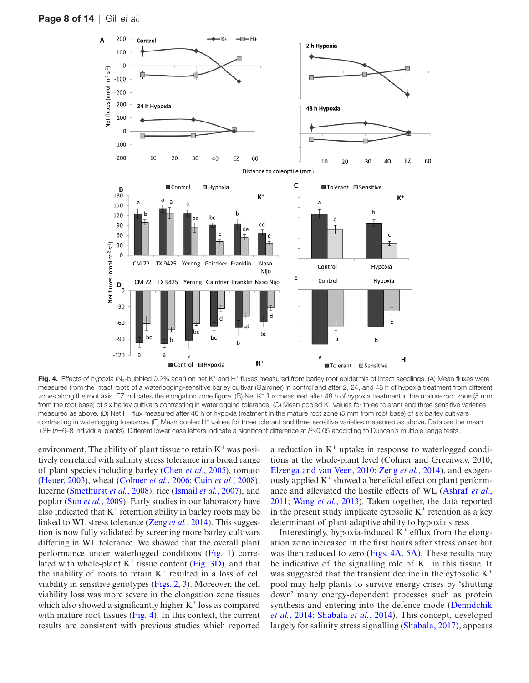

Fig. 4. Effects of hypoxia (N<sub>2</sub>-bubbled 0.2% agar) on net K<sup>+</sup> and H<sup>+</sup> fluxes measured from barley root epidermis of intact seedlings. (A) Mean fluxes were measured from the intact roots of a waterlogging-sensitive barley cultivar (Gairdner) in control and after 2, 24, and 48 h of hypoxia treatment from different zones along the root axis. EZ indicates the elongation zone figure. (B) Net K<sup>+</sup> flux measured after 48 h of hypoxia treatment in the mature root zone (5 mm from the root base) of six barley cultivars contrasting in waterlogging tolerance. (C) Mean pooled K<sup>+</sup> values for three tolerant and three sensitive varieties measured as above. (D) Net H<sup>+</sup> flux measured after 48 h of hypoxia treatment in the mature root zone (5 mm from root base) of six barley cultivars contrasting in waterlogging tolerance. (E) Mean pooled H<sup>+</sup> values for three tolerant and three sensitive varieties measured as above. Data are the mean ±SE (*n*=6–8 individual plants). Different lower case letters indicate a significant difference at *P*≤0.05 according to Duncan's multiple range tests.

environment. The ability of plant tissue to retain  $K^+$  was positively correlated with salinity stress tolerance in a broad range of plant species including barley (Chen *et al.*, 2005), tomato (Heuer, 2003), wheat (Colmer *et al.*, 2006; Cuin *et al.*, 2008), lucerne (Smethurst *et al.*, 2008), rice (Ismail *et al.*, 2007), and poplar (Sun *et al.*, 2009). Early studies in our laboratory have also indicated that  $K^+$  retention ability in barley roots may be linked to WL stress tolerance (Zeng *et al.*, 2014). This suggestion is now fully validated by screening more barley cultivars differing in WL tolerance. We showed that the overall plant performance under waterlogged conditions (Fig. 1) correlated with whole-plant  $K^+$  tissue content (Fig. 3D), and that the inability of roots to retain  $K^+$  resulted in a loss of cell viability in sensitive genotypes (Figs. 2, 3). Moreover, the cell viability loss was more severe in the elongation zone tissues which also showed a significantly higher  $K^+$  loss as compared with mature root tissues (Fig. 4). In this context, the current results are consistent with previous studies which reported

a reduction in  $K^+$  uptake in response to waterlogged conditions at the whole-plant level (Colmer and Greenway, 2010; Elzenga and van Veen, 2010; Zeng *et al.*, 2014), and exogenously applied  $K^+$  showed a beneficial effect on plant performance and alleviated the hostile effects of WL (Ashraf *et al.*, 2011; Wang *et al.*, 2013). Taken together, the data reported in the present study implicate cytosolic  $K^+$  retention as a key determinant of plant adaptive ability to hypoxia stress.

Interestingly, hypoxia-induced  $K^+$  efflux from the elongation zone increased in the first hours after stress onset but was then reduced to zero (Figs. 4A, 5A). These results may be indicative of the signalling role of  $K^+$  in this tissue. It was suggested that the transient decline in the cytosolic  $K^+$ pool may help plants to survive energy crises by 'shutting down' many energy-dependent processes such as protein synthesis and entering into the defence mode (Demidchik *et al.*, 2014; Shabala *et al.*, 2014). This concept, developed largely for salinity stress signalling (Shabala, 2017), appears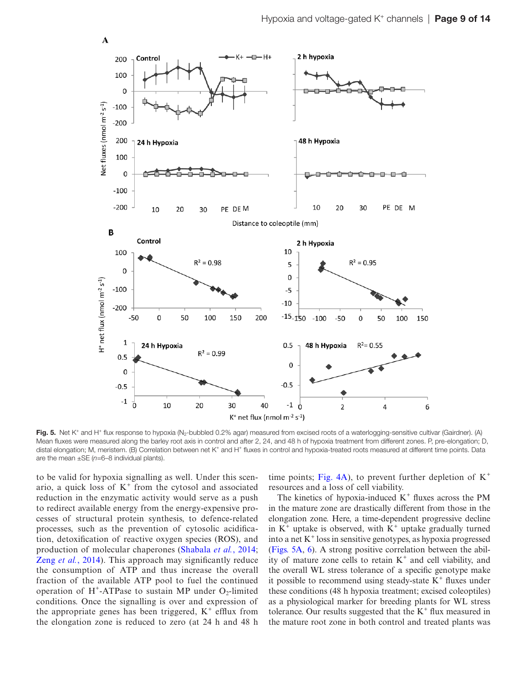

Fig. 5. Net K<sup>+</sup> and H<sup>+</sup> flux response to hypoxia (N<sub>2</sub>-bubbled 0.2% agar) measured from excised roots of a waterlogging-sensitive cultivar (Gairdner). (A) Mean fluxes were measured along the barley root axis in control and after 2, 24, and 48 h of hypoxia treatment from different zones. P, pre-elongation; D, distal elongation; M, meristem. (B) Correlation between net K<sup>+</sup> and H<sup>+</sup> fluxes in control and hypoxia-treated roots measured at different time points. Data are the mean ±SE (*n*=6–8 individual plants).

to be valid for hypoxia signalling as well. Under this scenario, a quick loss of  $K^+$  from the cytosol and associated reduction in the enzymatic activity would serve as a push to redirect available energy from the energy-expensive processes of structural protein synthesis, to defence-related processes, such as the prevention of cytosolic acidification, detoxification of reactive oxygen species (ROS), and production of molecular chaperones (Shabala *et al.*, 2014; Zeng *et al.*, 2014). This approach may significantly reduce the consumption of ATP and thus increase the overall fraction of the available ATP pool to fuel the continued operation of  $H^+$ -ATPase to sustain MP under O<sub>2</sub>-limited conditions. Once the signalling is over and expression of the appropriate genes has been triggered,  $K^+$  efflux from the elongation zone is reduced to zero (at 24 h and 48 h time points; Fig. 4A), to prevent further depletion of  $K^+$ resources and a loss of cell viability.

The kinetics of hypoxia-induced  $K^+$  fluxes across the PM in the mature zone are drastically different from those in the elongation zone. Here, a time-dependent progressive decline in  $K^+$  uptake is observed, with  $K^+$  uptake gradually turned into a net  $K^+$  loss in sensitive genotypes, as hypoxia progressed (Figs. 5A, 6). A strong positive correlation between the ability of mature zone cells to retain  $K^+$  and cell viability, and the overall WL stress tolerance of a specific genotype make it possible to recommend using steady-state  $K^+$  fluxes under these conditions (48 h hypoxia treatment; excised coleoptiles) as a physiological marker for breeding plants for WL stress tolerance. Our results suggested that the  $K^+$  flux measured in the mature root zone in both control and treated plants was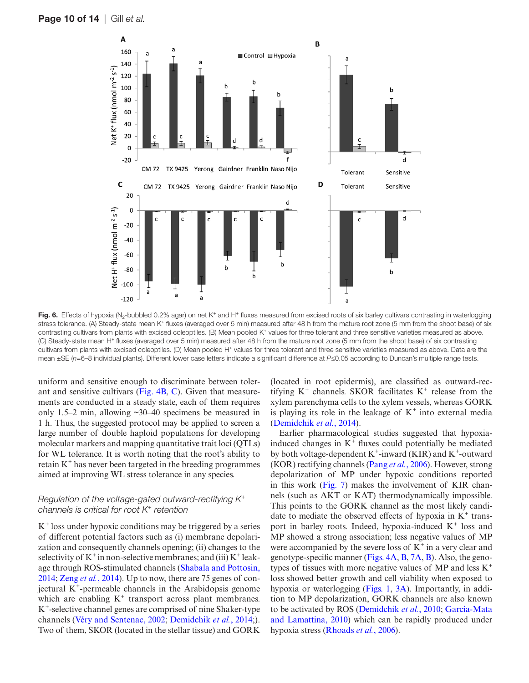

Fig. 6. Effects of hypoxia (N<sub>2</sub>-bubbled 0.2% agar) on net K<sup>+</sup> and H<sup>+</sup> fluxes measured from excised roots of six barley cultivars contrasting in waterlogging stress tolerance. (A) Steady-state mean K<sup>+</sup> fluxes (averaged over 5 min) measured after 48 h from the mature root zone (5 mm from the shoot base) of six contrasting cultivars from plants with excised coleoptiles. (B) Mean pooled K<sup>+</sup> values for three tolerant and three sensitive varieties measured as above. (C) Steady-state mean H<sup>+</sup> fluxes (averaged over 5 min) measured after 48 h from the mature root zone (5 mm from the shoot base) of six contrasting cultivars from plants with excised coleoptiles. (D) Mean pooled H<sup>+</sup> values for three tolerant and three sensitive varieties measured as above. Data are the mean ±SE (*n*=6–8 individual plants). Different lower case letters indicate a significant difference at *P*≤0.05 according to Duncan's multiple range tests.

uniform and sensitive enough to discriminate between tolerant and sensitive cultivars (Fig. 4B, C). Given that measurements are conducted in a steady state, each of them requires only 1.5–2 min, allowing  $\sim$ 30–40 specimens be measured in 1 h. Thus, the suggested protocol may be applied to screen a large number of double haploid populations for developing molecular markers and mapping quantitative trait loci (QTLs) for WL tolerance. It is worth noting that the root's ability to retain  $K<sup>+</sup>$  has never been targeted in the breeding programmes aimed at improving WL stress tolerance in any species.

## *Regulation of the voltage-gated outward-rectifying K+ channels is critical for root K<sup>+</sup> retention*

 $K<sup>+</sup>$  loss under hypoxic conditions may be triggered by a series of different potential factors such as (i) membrane depolarization and consequently channels opening; (ii) changes to the selectivity of  $K^+$  in non-selective membranes; and (iii)  $K^+$  leakage through ROS-stimulated channels (Shabala and Pottosin, 2014; Zeng *et al.*, 2014). Up to now, there are 75 genes of conjectural  $K^+$ -permeable channels in the Arabidopsis genome which are enabling  $K^+$  transport across plant membranes. K+-selective channel genes are comprised of nine Shaker-type channels (Véry and Sentenac, 2002; Demidchik *et al.*, 2014;). Two of them, SKOR (located in the stellar tissue) and GORK (located in root epidermis), are classified as outward-rectifying  $K^+$  channels. SKOR facilitates  $K^+$  release from the xylem parenchyma cells to the xylem vessels, whereas GORK is playing its role in the leakage of  $K^+$  into external media (Demidchik *et al.*, 2014).

Earlier pharmacological studies suggested that hypoxiainduced changes in  $K^+$  fluxes could potentially be mediated by both voltage-dependent  $K^+$ -inward (KIR) and  $K^+$ -outward (KOR) rectifying channels (Pang *et al.*, 2006). However, strong depolarization of MP under hypoxic conditions reported in this work (Fig. 7) makes the involvement of KIR channels (such as AKT or KAT) thermodynamically impossible. This points to the GORK channel as the most likely candidate to mediate the observed effects of hypoxia in  $K^+$  transport in barley roots. Indeed, hypoxia-induced  $K^+$  loss and MP showed a strong association; less negative values of MP were accompanied by the severe loss of  $K^+$  in a very clear and genotype-specific manner (Figs. 4A, B, 7A, B). Also, the genotypes of tissues with more negative values of MP and less  $K^+$ loss showed better growth and cell viability when exposed to hypoxia or waterlogging (Figs. 1, 3A). Importantly, in addition to MP depolarization, GORK channels are also known to be activated by ROS (Demidchik *et al.*, 2010; García-Mata and Lamattina, 2010) which can be rapidly produced under hypoxia stress (Rhoads *et al.*, 2006).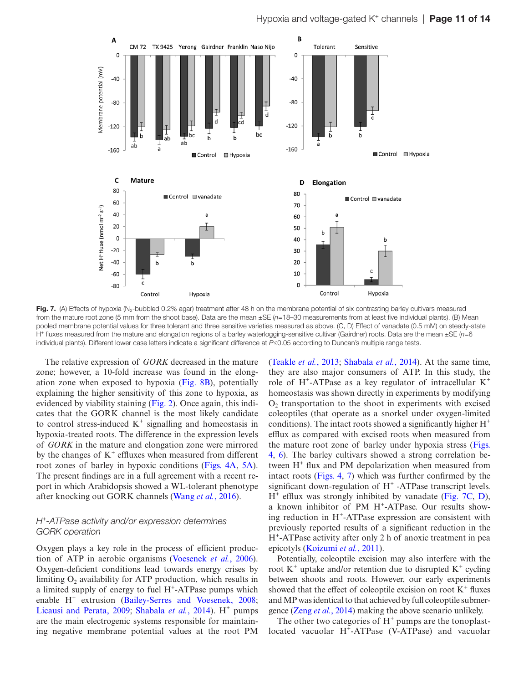

Fig. 7. (A) Effects of hypoxia (N<sub>2</sub>-bubbled 0.2% agar) treatment after 48 h on the membrane potential of six contrasting barley cultivars measured from the mature root zone (5 mm from the shoot base). Data are the mean ±SE (*n*=18–30 measurements from at least five individual plants). (B) Mean pooled membrane potential values for three tolerant and three sensitive varieties measured as above. (C, D) Effect of vanadate (0.5 mM) on steady-state H<sup>+</sup> fluxes measured from the mature and elongation regions of a barley waterlogging-sensitive cultivar (Gairdner) roots. Data are the mean ±SE (n=6 individual plants). Different lower case letters indicate a significant difference at *P*≤0.05 according to Duncan's multiple range tests.

The relative expression of *GORK* decreased in the mature zone; however, a 10-fold increase was found in the elongation zone when exposed to hypoxia (Fig. 8B), potentially explaining the higher sensitivity of this zone to hypoxia, as evidenced by viability staining (Fig. 2). Once again, this indicates that the GORK channel is the most likely candidate to control stress-induced  $K^+$  signalling and homeostasis in hypoxia-treated roots. The difference in the expression levels of *GORK* in the mature and elongation zone were mirrored by the changes of  $K^+$  effluxes when measured from different root zones of barley in hypoxic conditions (Figs. 4A, 5A). The present findings are in a full agreement with a recent report in which Arabidopsis showed a WL-tolerant phenotype after knocking out GORK channels (Wang *et al.*, 2016).

# *H+ -ATPase activity and/or expression determines GORK operation*

Oxygen plays a key role in the process of efficient production of ATP in aerobic organisms (Voesenek *et al.*, 2006). Oxygen-deficient conditions lead towards energy crises by limiting  $O_2$  availability for ATP production, which results in a limited supply of energy to fuel  $H^+$ -ATPase pumps which enable  $H^+$  extrusion (Bailey-Serres and Voesenek, 2008; Licausi and Perata, 2009; Shabala *et al.*, 2014). H<sup>+</sup> pumps are the main electrogenic systems responsible for maintaining negative membrane potential values at the root PM (Teakle *et al.*, 2013; Shabala *et al.*, 2014). At the same time, they are also major consumers of ATP. In this study, the role of H<sup>+</sup>-ATPase as a key regulator of intracellular  $K^+$ homeostasis was shown directly in experiments by modifying  $O<sub>2</sub>$  transportation to the shoot in experiments with excised coleoptiles (that operate as a snorkel under oxygen-limited conditions). The intact roots showed a significantly higher H<sup>+</sup> efflux as compared with excised roots when measured from the mature root zone of barley under hypoxia stress (Figs. 4, 6). The barley cultivars showed a strong correlation between  $H<sup>+</sup>$  flux and PM depolarization when measured from intact roots (Figs. 4, 7) which was further confirmed by the significant down-regulation of  $H^+$ -ATPase transcript levels.  $H^+$  efflux was strongly inhibited by vanadate (Fig. 7C, D), a known inhibitor of PM H+-ATPase. Our results showing reduction in  $H^+$ -ATPase expression are consistent with previously reported results of a significant reduction in the H+-ATPase activity after only 2 h of anoxic treatment in pea epicotyls (Koizumi *et al.*, 2011).

Potentially, coleoptile excision may also interfere with the root  $K^+$  uptake and/or retention due to disrupted  $K^+$  cycling between shoots and roots. However, our early experiments showed that the effect of coleoptile excision on root  $K^+$  fluxes and MP was identical to that achieved by full coleoptile submergence (Zeng *et al.*, 2014) making the above scenario unlikely.

The other two categories of  $H^+$  pumps are the tonoplastlocated vacuolar H+-ATPase (V-ATPase) and vacuolar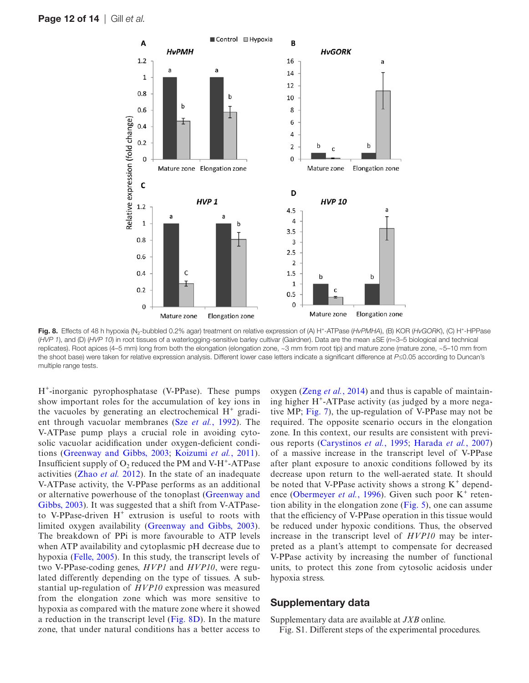

Fig. 8. Effects of 48 h hypoxia (N<sub>2</sub>-bubbled 0.2% agar) treatment on relative expression of (A) H<sup>+</sup>-ATPase (HvPMHA), (B) KOR (HvGORK), (C) H<sup>+</sup>-HPPase (*HVP 1*), and (D) (*HVP 10*) in root tissues of a waterlogging-sensitive barley cultivar (Gairdner). Data are the mean ±SE (*n*=3–5 biological and technical replicates). Root apices (4–5 mm) long from both the elongation (elongation zone, ~3 mm from root tip) and mature zone (mature zone, ~5–10 mm from the shoot base) were taken for relative expression analysis. Different lower case letters indicate a significant difference at *P*≤0.05 according to Duncan's multiple range tests.

H+-inorganic pyrophosphatase (V-PPase). These pumps show important roles for the accumulation of key ions in the vacuoles by generating an electrochemical  $H^+$  gradient through vacuolar membranes (Sze *et al.*, 1992). The V-ATPase pump plays a crucial role in avoiding cytosolic vacuolar acidification under oxygen-deficient conditions (Greenway and Gibbs, 2003; Koizumi *et al.*, 2011). Insufficient supply of  $O<sub>2</sub>$  reduced the PM and V-H<sup>+</sup>-ATPase activities (Zhao *et al.* 2012). In the state of an inadequate V-ATPase activity, the V-PPase performs as an additional or alternative powerhouse of the tonoplast (Greenway and Gibbs, 2003). It was suggested that a shift from V-ATPaseto V-PPase-driven  $H^+$  extrusion is useful to roots with limited oxygen availability (Greenway and Gibbs, 2003). The breakdown of PPi is more favourable to ATP levels when ATP availability and cytoplasmic pH decrease due to hypoxia (Felle, 2005). In this study, the transcript levels of two V-PPase-coding genes, *HVP1* and *HVP10*, were regulated differently depending on the type of tissues. A substantial up-regulation of *HVP10* expression was measured from the elongation zone which was more sensitive to hypoxia as compared with the mature zone where it showed a reduction in the transcript level (Fig. 8D). In the mature zone, that under natural conditions has a better access to oxygen (Zeng *et al.*, 2014) and thus is capable of maintaining higher H<sup>+</sup>-ATPase activity (as judged by a more negative MP; Fig. 7), the up-regulation of V-PPase may not be required. The opposite scenario occurs in the elongation zone. In this context, our results are consistent with previous reports (Carystinos *et al.*, 1995; Harada *et al.*, 2007) of a massive increase in the transcript level of V-PPase after plant exposure to anoxic conditions followed by its decrease upon return to the well-aerated state. It should be noted that V-PPase activity shows a strong  $K^+$  dependence (Obermeyer *et al.*, 1996). Given such poor  $K^+$  retention ability in the elongation zone (Fig. 5), one can assume that the efficiency of V-PPase operation in this tissue would be reduced under hypoxic conditions. Thus, the observed increase in the transcript level of *HVP10* may be interpreted as a plant's attempt to compensate for decreased V-PPase activity by increasing the number of functional units, to protect this zone from cytosolic acidosis under hypoxia stress.

## Supplementary data

Supplementary data are available at *JXB* online.

Fig. S1. Different steps of the experimental procedures.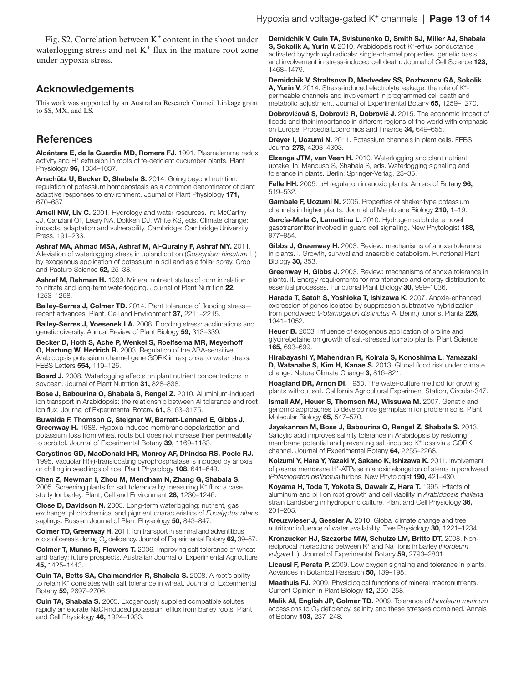Fig. S2. Correlation between  $K^+$  content in the shoot under waterlogging stress and net  $K^+$  flux in the mature root zone under hypoxia stress.

# Acknowledgements

This work was supported by an Australian Research Council Linkage grant to SS, MX, and LS.

# **References**

Alcántara E, de la Guardia MD, Romera FJ. 1991. Plasmalemma redox activity and H<sup>+</sup> extrusion in roots of fe-deficient cucumber plants. Plant Physiology 96, 1034–1037.

Anschütz U, Becker D, Shabala S. 2014. Going beyond nutrition: regulation of potassium homoeostasis as a common denominator of plant adaptive responses to environment. Journal of Plant Physiology 171, 670–687.

Arnell NW, Liv C. 2001. Hydrology and water resources. In: McCarthy JJ, Canziani OF, Leary NA, Dokken DJ, White KS, eds. Climate change: impacts, adaptation and vulnerability. Cambridge: Cambridge University Press, 191–233.

Ashraf MA, Ahmad MSA, Ashraf M, Al-Qurainy F, Ashraf MY. 2011. Alleviation of waterlogging stress in upland cotton (*Gossypium hirsutum* L.) by exogenous application of potassium in soil and as a foliar spray. Crop and Pasture Science 62, 25–38.

Ashraf M, Rehman H. 1999. Mineral nutrient status of corn in relation to nitrate and long-term waterlogging. Journal of Plant Nutrition 22, 1253–1268.

Bailey-Serres J, Colmer TD. 2014. Plant tolerance of flooding stressrecent advances. Plant, Cell and Environment 37, 2211–2215.

Bailey-Serres J, Voesenek LA. 2008. Flooding stress: acclimations and genetic diversity. Annual Review of Plant Biology 59, 313–339.

Becker D, Hoth S, Ache P, Wenkel S, Roelfsema MR, Meyerhoff O, Hartung W, Hedrich R. 2003. Regulation of the ABA-sensitive Arabidopsis potassium channel gene GORK in response to water stress. FEBS Letters 554, 119–126.

Board J. 2008. Waterlogging effects on plant nutrient concentrations in soybean. Journal of Plant Nutrition 31, 828-838.

Bose J, Babourina O, Shabala S, Rengel Z. 2010. Aluminium-induced ion transport in Arabidopsis: the relationship between Al tolerance and root ion flux. Journal of Experimental Botany 61, 3163–3175.

Buwalda F, Thomson C, Steigner W, Barrett-Lennard E, Gibbs J, Greenway H. 1988. Hypoxia induces membrane depolarization and potassium loss from wheat roots but does not increase their permeability to sorbitol. Journal of Experimental Botany 39, 1169–1183.

Carystinos GD, MacDonald HR, Monroy AF, Dhindsa RS, Poole RJ. 1995. Vacuolar H(+)-translocating pyrophosphatase is induced by anoxia or chilling in seedlings of rice. Plant Physiology 108, 641–649.

Chen Z, Newman I, Zhou M, Mendham N, Zhang G, Shabala S. 2005. Screening plants for salt tolerance by measuring K<sup>+</sup> flux: a case study for barley. Plant, Cell and Environment 28, 1230–1246.

Close D, Davidson N. 2003. Long-term waterlogging: nutrient, gas exchange, photochemical and pigment characteristics of *Eucalyptus nitens* saplings. Russian Journal of Plant Physiology 50, 843–847.

Colmer TD, Greenway H. 2011. Ion transport in seminal and adventitious roots of cereals during  $O<sub>2</sub>$  deficiency. Journal of Experimental Botany 62, 39–57.

Colmer T, Munns R, Flowers T. 2006. Improving salt tolerance of wheat and barley: future prospects. Australian Journal of Experimental Agriculture 45, 1425–1443.

Cuin TA, Betts SA, Chalmandrier R, Shabala S. 2008. A root's ability to retain K<sup>+</sup> correlates with salt tolerance in wheat. Journal of Experimental Botany 59, 2697–2706.

Cuin TA, Shabala S. 2005. Exogenously supplied compatible solutes rapidly ameliorate NaCl-induced potassium efflux from barley roots. Plant and Cell Physiology 46, 1924–1933.

Demidchik V, Cuin TA, Svistunenko D, Smith SJ, Miller AJ, Shabala S, Sokolik A, Yurin V. 2010. Arabidopsis root K<sup>+</sup>-efflux conductance activated by hydroxyl radicals: single-channel properties, genetic basis and involvement in stress-induced cell death. Journal of Cell Science 123, 1468–1479.

Demidchik V, Straltsova D, Medvedev SS, Pozhvanov GA, Sokolik

A, Yurin V. 2014. Stress-induced electrolyte leakage: the role of K<sup>+</sup>permeable channels and involvement in programmed cell death and metabolic adjustment. Journal of Experimental Botany 65, 1259–1270.

Dobrovi**č**ová S, Dobrovi**č** R, Dobrovi**č** J. 2015. The economic impact of floods and their importance in different regions of the world with emphasis on Europe. Procedia Economics and Finance 34, 649–655.

Dreyer I, Uozumi N. 2011. Potassium channels in plant cells. FEBS Journal 278, 4293–4303.

Elzenga JTM, van Veen H. 2010. Waterlogging and plant nutrient uptake. In: Mancuso S, Shabala S, eds. Waterlogging signalling and tolerance in plants. Berlin: Springer-Verlag, 23–35.

Felle HH. 2005. pH regulation in anoxic plants. Annals of Botany 96, 519–532.

Gambale F, Uozumi N. 2006. Properties of shaker-type potassium channels in higher plants. Journal of Membrane Biology 210, 1–19.

García-Mata C, Lamattina L. 2010. Hydrogen sulphide, a novel gasotransmitter involved in guard cell signalling. New Phytologist 188, 977–984.

Gibbs J, Greenway H. 2003. Review: mechanisms of anoxia tolerance in plants. I. Growth, survival and anaerobic catabolism. Functional Plant Biology 30, 353.

Greenway H, Gibbs J. 2003. Review: mechanisms of anoxia tolerance in plants. II. Energy requirements for maintenance and energy distribution to essential processes. Functional Plant Biology 30, 999–1036.

Harada T, Satoh S, Yoshioka T, Ishizawa K. 2007. Anoxia-enhanced expression of genes isolated by suppression subtractive hybridization from pondweed (*Potamogeton distinctus* A. Benn.) turions. Planta 226, 1041–1052.

Heuer B. 2003. Influence of exogenous application of proline and glycinebetaine on growth of salt-stressed tomato plants. Plant Science 165, 693–699.

Hirabayashi Y, Mahendran R, Koirala S, Konoshima L, Yamazaki D, Watanabe S, Kim H, Kanae S. 2013. Global flood risk under climate change. Nature Climate Change 3, 816–821.

Hoagland DR, Arnon DI. 1950. The water-culture method for growing plants without soil. California Agricultural Experiment Station, Circular-347.

Ismail AM, Heuer S, Thomson MJ, Wissuwa M. 2007. Genetic and genomic approaches to develop rice germplasm for problem soils. Plant Molecular Biology 65, 547–570.

Jayakannan M, Bose J, Babourina O, Rengel Z, Shabala S. 2013. Salicylic acid improves salinity tolerance in Arabidopsis by restoring membrane potential and preventing salt-induced K<sup>+</sup> loss via a GORK channel. Journal of Experimental Botany 64, 2255–2268.

Koizumi Y, Hara Y, Yazaki Y, Sakano K, Ishizawa K. 2011. Involvement of plasma membrane H<sup>+</sup>-ATPase in anoxic elongation of stems in pondweed (*Potamogeton distinctus*) turions. New Phytologist 190, 421–430.

Koyama H, Toda T, Yokota S, Dawair Z, Hara T. 1995. Effects of aluminum and pH on root growth and cell viability in *Arabidopsis thaliana* strain Landsberg in hydroponic culture. Plant and Cell Physiology 36, 201–205.

Kreuzwieser J, Gessler A. 2010. Global climate change and tree nutrition: influence of water availability. Tree Physiology 30, 1221–1234.

Kronzucker HJ, Szczerba MW, Schulze LM, Britto DT. 2008. Nonreciprocal interactions between K+ and Na+ ions in barley (*Hordeum vulgare* L.). Journal of Experimental Botany 59, 2793–2801.

Licausi F, Perata P. 2009. Low oxygen signaling and tolerance in plants. Advances in Botanical Research 50, 139–198.

Maathuis FJ. 2009. Physiological functions of mineral macronutrients. Current Opinion in Plant Biology 12, 250–258.

Malik AI, English JP, Colmer TD. 2009. Tolerance of *Hordeum marinum* accessions to  $O<sub>2</sub>$  deficiency, salinity and these stresses combined. Annals of Botany 103, 237–248.